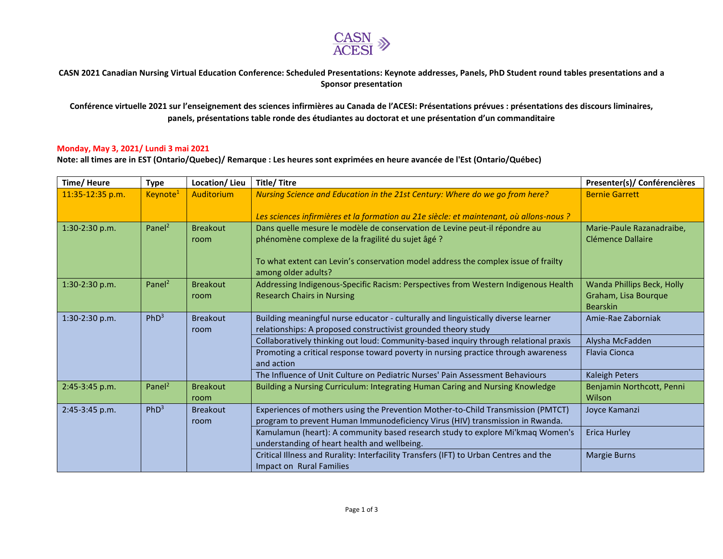

## CASN 2021 Canadian Nursing Virtual Education Conference: Scheduled Presentations: Keynote addresses, Panels, PhD Student round tables presentations and a **Sponsor presentation**

**Conférence virtuelle 2021 sur l'enseignement des sciences infirmières au Canada de l'ACESI: Présentations prévues : présentations des discours liminaires, panels, présentations table ronde des étudiantes au doctorat et une présentation d'un commanditaire**

## **Monday, May 3, 2021/ Lundi 3 mai 2021**

**Note: all times are in EST (Ontario/Quebec)/ Remarque : Les heures sont exprimées en heure avancée de l'Est (Ontario/Québec)**

| Time/Heure       | <b>Type</b>          | Location/Lieu           | <b>Title/Titre</b>                                                                                        | Presenter(s)/ Conférencières        |
|------------------|----------------------|-------------------------|-----------------------------------------------------------------------------------------------------------|-------------------------------------|
| 11:35-12:35 p.m. | Keynote <sup>1</sup> | Auditorium              | Nursing Science and Education in the 21st Century: Where do we go from here?                              | <b>Bernie Garrett</b>               |
|                  |                      |                         | Les sciences infirmières et la formation au 21e siècle: et maintenant, où allons-nous ?                   |                                     |
| 1:30-2:30 p.m.   | Panel <sup>2</sup>   | <b>Breakout</b>         | Dans quelle mesure le modèle de conservation de Levine peut-il répondre au                                | Marie-Paule Razanadraibe,           |
|                  |                      | room                    | phénomène complexe de la fragilité du sujet âgé ?                                                         | Clémence Dallaire                   |
|                  |                      |                         | To what extent can Levin's conservation model address the complex issue of frailty<br>among older adults? |                                     |
| 1:30-2:30 p.m.   | Panel <sup>2</sup>   | <b>Breakout</b>         | Addressing Indigenous-Specific Racism: Perspectives from Western Indigenous Health                        | Wanda Phillips Beck, Holly          |
|                  |                      | room                    | <b>Research Chairs in Nursing</b>                                                                         | Graham, Lisa Bourque                |
|                  |                      |                         |                                                                                                           | <b>Bearskin</b>                     |
| 1:30-2:30 p.m.   | PhD <sup>3</sup>     | <b>Breakout</b>         | Building meaningful nurse educator - culturally and linguistically diverse learner                        | Amie-Rae Zaborniak                  |
|                  |                      | room                    | relationships: A proposed constructivist grounded theory study                                            |                                     |
|                  |                      |                         | Collaboratively thinking out loud: Community-based inquiry through relational praxis                      | Alysha McFadden                     |
|                  |                      |                         | Promoting a critical response toward poverty in nursing practice through awareness<br>and action          | <b>Flavia Cionca</b>                |
|                  |                      |                         | The Influence of Unit Culture on Pediatric Nurses' Pain Assessment Behaviours                             | <b>Kaleigh Peters</b>               |
| 2:45-3:45 p.m.   | Panel <sup>2</sup>   | <b>Breakout</b><br>room | Building a Nursing Curriculum: Integrating Human Caring and Nursing Knowledge                             | Benjamin Northcott, Penni<br>Wilson |
| 2:45-3:45 p.m.   | PhD <sup>3</sup>     | <b>Breakout</b>         | Experiences of mothers using the Prevention Mother-to-Child Transmission (PMTCT)                          | Joyce Kamanzi                       |
|                  |                      | room                    | program to prevent Human Immunodeficiency Virus (HIV) transmission in Rwanda.                             |                                     |
|                  |                      |                         | Kamulamun (heart): A community based research study to explore Mi'kmaq Women's                            | Erica Hurley                        |
|                  |                      |                         | understanding of heart health and wellbeing.                                                              |                                     |
|                  |                      |                         | Critical Illness and Rurality: Interfacility Transfers (IFT) to Urban Centres and the                     | <b>Margie Burns</b>                 |
|                  |                      |                         | Impact on Rural Families                                                                                  |                                     |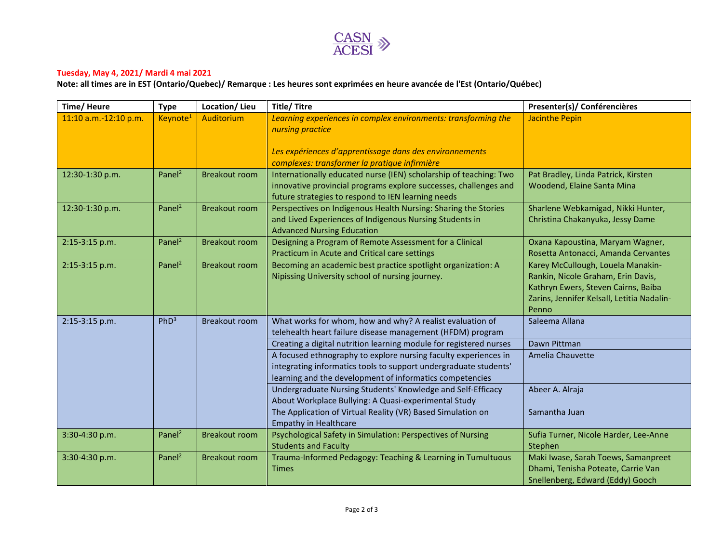

## **Tuesday, May 4, 2021/ Mardi 4 mai 2021**

**Note: all times are in EST (Ontario/Quebec)/ Remarque : Les heures sont exprimées en heure avancée de l'Est (Ontario/Québec)**

| Time/Heure            | <b>Type</b>          | Location/Lieu        | <b>Title/Titre</b>                                                                                       | Presenter(s)/ Conférencières               |
|-----------------------|----------------------|----------------------|----------------------------------------------------------------------------------------------------------|--------------------------------------------|
| 11:10 a.m.-12:10 p.m. | Keynote <sup>1</sup> | Auditorium           | Learning experiences in complex environments: transforming the                                           | <b>Jacinthe Pepin</b>                      |
|                       |                      |                      | nursing practice                                                                                         |                                            |
|                       |                      |                      |                                                                                                          |                                            |
|                       |                      |                      | Les expériences d'apprentissage dans des environnements<br>complexes: transformer la pratique infirmière |                                            |
| 12:30-1:30 p.m.       | Panel <sup>2</sup>   | <b>Breakout room</b> | Internationally educated nurse (IEN) scholarship of teaching: Two                                        | Pat Bradley, Linda Patrick, Kirsten        |
|                       |                      |                      | innovative provincial programs explore successes, challenges and                                         | Woodend, Elaine Santa Mina                 |
|                       |                      |                      | future strategies to respond to IEN learning needs                                                       |                                            |
| 12:30-1:30 p.m.       | Panel <sup>2</sup>   | <b>Breakout room</b> | Perspectives on Indigenous Health Nursing: Sharing the Stories                                           | Sharlene Webkamigad, Nikki Hunter,         |
|                       |                      |                      | and Lived Experiences of Indigenous Nursing Students in                                                  | Christina Chakanyuka, Jessy Dame           |
|                       |                      |                      | <b>Advanced Nursing Education</b>                                                                        |                                            |
| 2:15-3:15 p.m.        | Panel <sup>2</sup>   | <b>Breakout room</b> | Designing a Program of Remote Assessment for a Clinical                                                  | Oxana Kapoustina, Maryam Wagner,           |
|                       |                      |                      | Practicum in Acute and Critical care settings                                                            | Rosetta Antonacci, Amanda Cervantes        |
| $2:15-3:15$ p.m.      | Panel <sup>2</sup>   | <b>Breakout room</b> | Becoming an academic best practice spotlight organization: A                                             | Karey McCullough, Louela Manakin-          |
|                       |                      |                      | Nipissing University school of nursing journey.                                                          | Rankin, Nicole Graham, Erin Davis,         |
|                       |                      |                      |                                                                                                          | Kathryn Ewers, Steven Cairns, Baiba        |
|                       |                      |                      |                                                                                                          | Zarins, Jennifer Kelsall, Letitia Nadalin- |
| 2:15-3:15 p.m.        | PhD <sup>3</sup>     | <b>Breakout room</b> | What works for whom, how and why? A realist evaluation of                                                | Penno<br>Saleema Allana                    |
|                       |                      |                      | telehealth heart failure disease management (HFDM) program                                               |                                            |
|                       |                      |                      | Creating a digital nutrition learning module for registered nurses                                       | Dawn Pittman                               |
|                       |                      |                      | A focused ethnography to explore nursing faculty experiences in                                          | Amelia Chauvette                           |
|                       |                      |                      | integrating informatics tools to support undergraduate students'                                         |                                            |
|                       |                      |                      | learning and the development of informatics competencies                                                 |                                            |
|                       |                      |                      | Undergraduate Nursing Students' Knowledge and Self-Efficacy                                              | Abeer A. Alraja                            |
|                       |                      |                      | About Workplace Bullying: A Quasi-experimental Study                                                     |                                            |
|                       |                      |                      | The Application of Virtual Reality (VR) Based Simulation on                                              | Samantha Juan                              |
|                       |                      |                      | <b>Empathy in Healthcare</b>                                                                             |                                            |
| 3:30-4:30 p.m.        | Panel <sup>2</sup>   | <b>Breakout room</b> | Psychological Safety in Simulation: Perspectives of Nursing                                              | Sufia Turner, Nicole Harder, Lee-Anne      |
|                       |                      |                      | <b>Students and Faculty</b>                                                                              | Stephen                                    |
| 3:30-4:30 p.m.        | Panel <sup>2</sup>   | <b>Breakout room</b> | Trauma-Informed Pedagogy: Teaching & Learning in Tumultuous                                              | Maki Iwase, Sarah Toews, Samanpreet        |
|                       |                      |                      | <b>Times</b>                                                                                             | Dhami, Tenisha Poteate, Carrie Van         |
|                       |                      |                      |                                                                                                          | Snellenberg, Edward (Eddy) Gooch           |